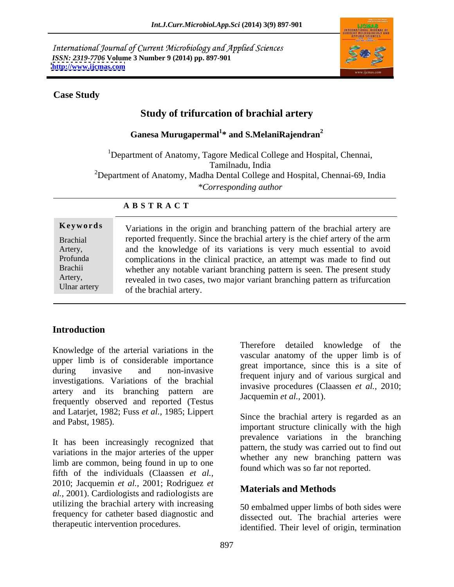International Journal of Current Microbiology and Applied Sciences *ISSN: 2319-7706* **Volume 3 Number 9 (2014) pp. 897-901 <http://www.ijcmas.com>**



### **Case Study**

# **Study of trifurcation of brachial artery**

# $\boldsymbol{\mathrm{Ganesa\ Murugapermal}}^{1*}$  and  $\boldsymbol{\mathrm{S.MelaniRajendran}}^{2}$

<sup>1</sup>Department of Anatomy, Tagore Medical College and Hospital, Chennai, Tamilnadu, India <sup>2</sup>Department of Anatomy, Madha Dental College and Hospital, Chennai-69, India *\*Corresponding author* 

### **A B S T R A C T**

**Keywords** Variations in the origin and branching pattern of the brachial artery are Brachial reported frequently. Since the brachial artery is the chief artery of the arm Artery, and the knowledge of its variations is very much essential to avoid Profunda complications in the clinical practice, an attempt was made to find out Brachii whether any notable variant branching pattern is seen. The present study Artery, revealed in two cases, two major variant branching pattern as trifurcation Ulnar artery  $\sigma$  of the brachial artery  $\sigma$  and  $\sigma$  is the contract of the brachial artery  $\sigma$  is the set of the brachial artery  $\sigma$ of the brachial artery.

### **Introduction**

Knowledge of the arterial variations in the upper limb is of considerable importance during invasive and non-invasive great importance, since this is a site of<br>frequent injury and of various surgical and investigations. Variations of the brachial artery and its branching pattern are frequently observed and reported (Testus and Latarjet, 1982; Fuss *et al.,* 1985; Lippert

It has been increasingly recognized that variations in the major arteries of the upper limb are common, being found in up to one fifth of the individuals (Claassen *et al.,* 2010; Jacquemin *et al.,* 2001; Rodriguez *et al.,* 2001). Cardiologists and radiologists are utilizing the brachial artery with increasing frequency for catheter based diagnostic and Therefore detailed knowledge of the vascular anatomy of the upper limb is of great importance, since this is a site of invasive procedures (Claassen *et al.,* 2010; Jacquemin *et al.,* 2001).

and Pabst, 1985).<br>
important structure clinically with the high Since the brachial artery is regarded as an prevalence variations in the branching pattern, the study was carried out to find out whether any new branching pattern was found which was so far not reported.

### **Materials and Methods**

therapeutic intervention procedures. identified. Their level of origin, termination 50 embalmed upper limbs of both sides were dissected out. The brachial arteries were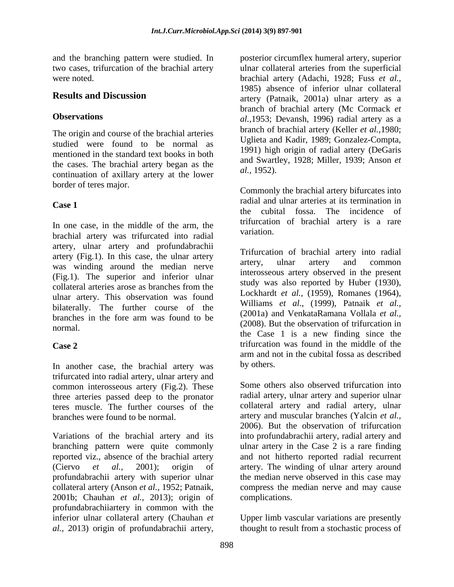and the branching pattern were studied. In

The origin and course of the brachial arteries studied were found to be normal as mentioned in the standard text books in both the cases. The brachial artery began as the  $\frac{du}{dt}$  and Swaru continuation of orillows extensive to the lower  $\frac{du}{dt}$ , 1952). continuation of axillary artery at the lower border of teres major.

In one case, in the middle of the arm, the unique unique variation. brachial artery was trifurcated into radial artery, ulnar artery and profundabrachii artery (Fig.1). In this case, the ulnar artery<br>artery artery ulnar artery and common was winding around the median nerve (Fig.1). The superior and inferior ulnar collateral arteries arose as branches from the  $\frac{\text{study was also reported by Huder (1950)}}{\text{Lgalheat}}$  (1050). Democratic (1064) ulnar artery. This observation was found bilaterally. The further course of the branches in the fore arm was found to be

In another case, the brachial artery was by others. trifurcated into radial artery, ulnar artery and common interosseous artery (Fig.2). These three arteries passed deep to the pronator teres muscle. The further courses of the

Variations of the brachial artery and its into profundabrachii artery, radial artery and branching pattern were quite commonly ulnar artery in the Case 2 is a rare finding reported viz., absence of the brachial artery and not hitherto reported radial recurrent (Ciervo *et al.,* 2001); origin of artery. The winding of ulnar artery around profundabrachii artery with superior ulnar collateral artery (Anson *et al.,* 1952; Patnaik, compress the median nerve and may cause 2001b; Chauhan *et al.,* 2013); origin of profundabrachiiartery in common with the inferior ulnar collateral artery (Chauhan *et*  Upper limb vascular variations are presently *al.,* 2013) origin of profundabrachii artery, thought to result from a stochastic process of

two cases, trifurcation of the brachial artery ulnar collateral arteries from the superficial were noted. brachial artery (Adachi, 1928; Fuss *et al.,* **Results and Discussion** artery (Patnaik, 2001a) ulnar artery as a **Observations** *al.,*1953; Devansh, 1996) radial artery as a posterior circumflex humeral artery, superior 1985) absence of inferior ulnar collateral branch of brachial artery (Mc Cormack *et*  branch of brachial artery (Keller *et al.,*1980; Uglieta and Kadir, 1989; Gonzalez-Compta, 1991) high origin of radial artery (DeGaris and Swartley, 1928; Miller, 1939; Anson *et al.,* 1952).

**Case** 1 Commonly the brachial artery bifurcates into radial and ulnar arteries at its termination in the cubital fossa. The incidence of trifurcation of brachial artery is a rare variation.

 $(2000)$ . But the observation of triangular in normal. **Case 2** trifurcation was found in the middle of the Trifurcation of brachial artery into radial artery, ulnar artery and common interosseous artery observed in the present study was also reported by Huber (1930), Lockhardt *et al.,* (1959), Romanes (1964), Williams *et al.,* (1999), Patnaik *et al.,* (2001a) and VenkataRamana Vollala *et al.,* (2008). But the observation of trifurcation in the Case 1 is a new finding since the arm and not in the cubital fossa as described by others.

branches were found to be normal. artery and muscular branches (Yalcin *et al.,* Some others also observed trifurcation into radial artery, ulnar artery and superior ulnar collateral artery and radial artery, ulnar 2006). But the observation of trifurcation the median nerve observed in this case may complications.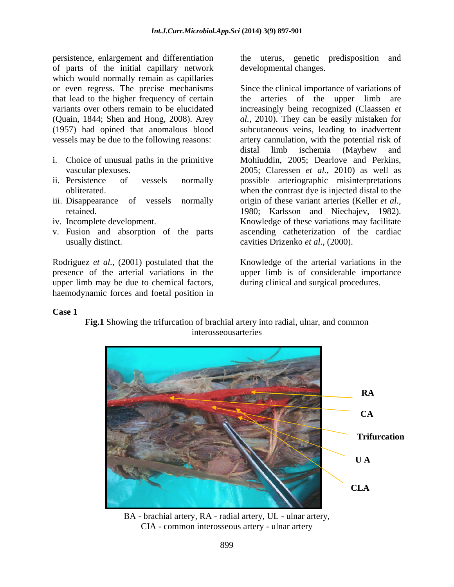persistence, enlargement and differentiation of parts of the initial capillary network which would normally remain as capillaries (1957) had opined that anomalous blood vessels may be due to the following reasons:

- i. Choice of unusual paths in the primitive
- 
- 
- 
- v. Fusion and absorption of the parts usually distinct. cavities Drizenko *et al.,* (2000).

Rodriguez *et al.,* (2001) postulated that the upper limb may be due to chemical factors, haemodynamic forces and foetal position in the uterus, genetic predisposition developmental changes.

or even regress. The precise mechanisms Since the clinical importance of variations of that lead to the higher frequency of certain the arteries of the upper limb are variants over others remain to be elucidated increasingly being recognized (Claassen *et*  (Quain, 1844; Shen and Hong, 2008). Arey *al.,* 2010). They can be easily mistaken for vascular plexuses. 2005; Claressen *et al.,* 2010) as well as ii. Persistence of vessels normally possible arteriographic misinterpretations obliterated. when the contrast dye is injected distal to the iii. Disappearance of vessels normally origin of these variant arteries (Keller *et al.*, retained. 1980; Karlsson and Niechajev, 1982). iv. Incomplete development. Knowledge of these variations may facilitate subcutaneous veins, leading to inadvertent artery cannulation, with the potential risk of distal limb ischemia (Mayhew and Mohiuddin, 2005; Dearlove and Perkins, ascending catheterization of the cardiac

presence of the arterial variations in the upper limb is of considerable importance Knowledge of the arterial variations in the during clinical and surgical procedures.

## **Case 1**

**Fig.1** Showing the trifurcation of brachial artery into radial, ulnar, and common interosseousarteries



BA - brachial artery, RA - radial artery, UL - ulnar artery, CIA - common interosseous artery - ulnar artery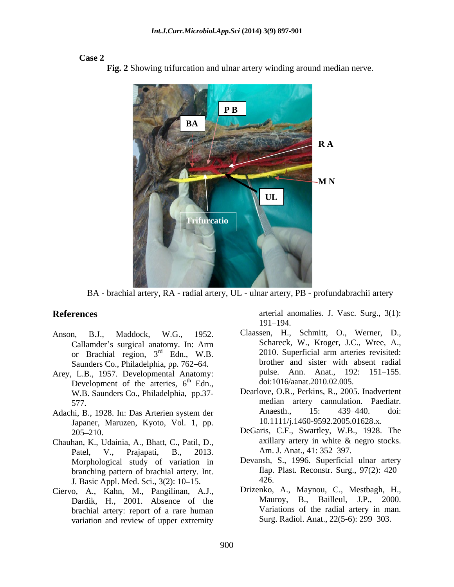### **Case 2**



**Fig. 2** Showing trifurcation and ulnar artery winding around median nerve.

BA - brachial artery, RA - radial artery, UL - ulnar artery, PB - profundabrachii artery

- or Brachial region,  $3<sup>rd</sup>$  Edn., W.B. Saunders Co., Philadelphia, pp. 762–64.
- Arey, L.B., 1957. Developmental Anatomy: Development of the arteries,  $6<sup>th</sup>$  Edn., W.B. Saunders Co., Philadelphia, pp.37-
- Japaner, Maruzen, Kyoto, Vol. 1, pp.
- Patel, V., Prajapati, B., 2013. Am. J. Anat., 41: 352–397. Morphological study of variation in branching pattern of brachial artery. Int. The results of the latest state of the state of the state of the state of the state of the state of the state of the state of the state of the state of the state of the state of t J. Basic Appl. Med. Sci., 3(2): 10–15.
- Ciervo, A., Kahn, M., Pangilinan, A.J., Dardik, H., 2001. Absence of the brachial artery: report of a rare human variation and review of upper extremity

**References** arterial anomalies. J. Vasc. Surg., 3(1): 191–194.

- Anson, B.J., Maddock, W.G., 1952. Claassen, H., Schmitt, O., Werner, D., Callamder's surgical anatomy. In: Arm Schareck, W., Kroger, J.C., Wree, A., 2010. Superficial arm arteries revisited: th Edn.,  $\frac{1016}{\text{4}}$  doi:1016/aanat.2010.02.005. Schareck, W., Kroger, J.C., Wree, A., 2010. Superficial arm arteries revisited: brother and sister with absent radial pulse. Ann. Anat., 192: 151–155.
- 577. median artery cannulation. Paediatr. Adachi, B., 1928. In: Das Arterien system der Anaesth., 15: 439–440. doi: Dearlove, O.R., Perkins, R., 2005. Inadvertent Anaesth., 15: 439–440. doi: 10.1111/j.1460-9592.2005.01628.x.
- 205 210. DeGaris, C.F., Swartley, W.B., 1928. The Chauhan, K., Udainia, A., Bhatt, C., Patil, D., axillary artery in white & negro stocks. Am. J. Anat., 41: 352–397.
	- Devansh, S., 1996. Superficial ulnar artery flap. Plast. Reconstr. Surg., 97(2): 420 426.
	- Drizenko, A., Maynou, C., Mestbagh, H., Mauroy, B., Bailleul, J.P., 2000. Variations of the radial artery in man. Surg. Radiol. Anat., 22(5-6): 299–303.